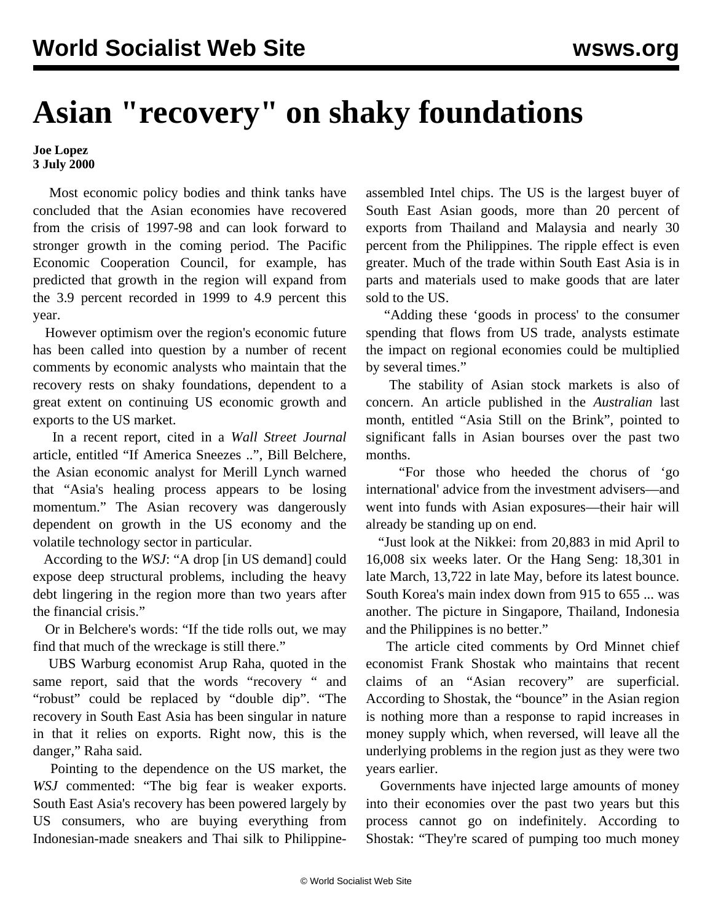## **Asian "recovery" on shaky foundations**

**Joe Lopez 3 July 2000**

 Most economic policy bodies and think tanks have concluded that the Asian economies have recovered from the crisis of 1997-98 and can look forward to stronger growth in the coming period. The Pacific Economic Cooperation Council, for example, has predicted that growth in the region will expand from the 3.9 percent recorded in 1999 to 4.9 percent this year.

 However optimism over the region's economic future has been called into question by a number of recent comments by economic analysts who maintain that the recovery rests on shaky foundations, dependent to a great extent on continuing US economic growth and exports to the US market.

 In a recent report, cited in a *Wall Street Journal* article, entitled "If America Sneezes ..", Bill Belchere, the Asian economic analyst for Merill Lynch warned that "Asia's healing process appears to be losing momentum." The Asian recovery was dangerously dependent on growth in the US economy and the volatile technology sector in particular.

 According to the *WSJ*: "A drop [in US demand] could expose deep structural problems, including the heavy debt lingering in the region more than two years after the financial crisis."

 Or in Belchere's words: "If the tide rolls out, we may find that much of the wreckage is still there."

 UBS Warburg economist Arup Raha, quoted in the same report, said that the words "recovery " and "robust" could be replaced by "double dip". "The recovery in South East Asia has been singular in nature in that it relies on exports. Right now, this is the danger," Raha said.

 Pointing to the dependence on the US market, the *WSJ* commented: "The big fear is weaker exports. South East Asia's recovery has been powered largely by US consumers, who are buying everything from Indonesian-made sneakers and Thai silk to Philippineassembled Intel chips. The US is the largest buyer of South East Asian goods, more than 20 percent of exports from Thailand and Malaysia and nearly 30 percent from the Philippines. The ripple effect is even greater. Much of the trade within South East Asia is in parts and materials used to make goods that are later sold to the US.

 "Adding these 'goods in process' to the consumer spending that flows from US trade, analysts estimate the impact on regional economies could be multiplied by several times."

 The stability of Asian stock markets is also of concern. An article published in the *Australian* last month, entitled "Asia Still on the Brink", pointed to significant falls in Asian bourses over the past two months.

 "For those who heeded the chorus of 'go international' advice from the investment advisers—and went into funds with Asian exposures—their hair will already be standing up on end.

 "Just look at the Nikkei: from 20,883 in mid April to 16,008 six weeks later. Or the Hang Seng: 18,301 in late March, 13,722 in late May, before its latest bounce. South Korea's main index down from 915 to 655 ... was another. The picture in Singapore, Thailand, Indonesia and the Philippines is no better."

 The article cited comments by Ord Minnet chief economist Frank Shostak who maintains that recent claims of an "Asian recovery" are superficial. According to Shostak, the "bounce" in the Asian region is nothing more than a response to rapid increases in money supply which, when reversed, will leave all the underlying problems in the region just as they were two years earlier.

 Governments have injected large amounts of money into their economies over the past two years but this process cannot go on indefinitely. According to Shostak: "They're scared of pumping too much money